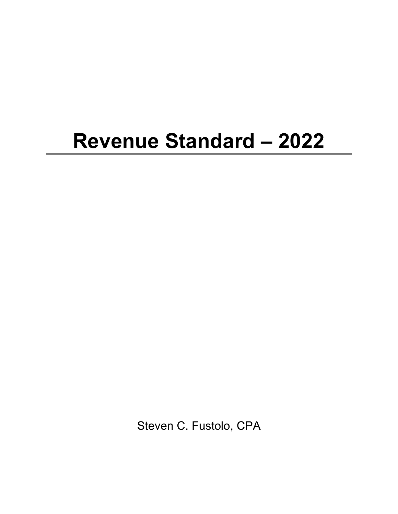## **Revenue Standard – 2022**

Steven C. Fustolo, CPA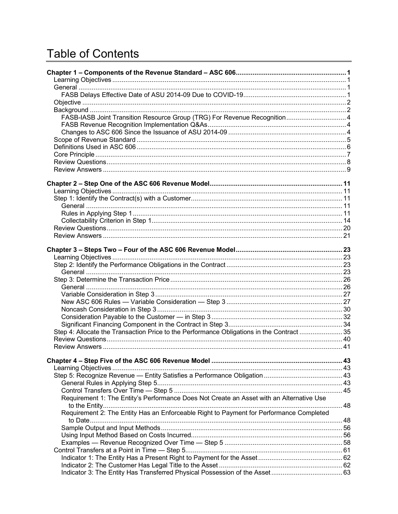## **Table of Contents**

| FASB-IASB Joint Transition Resource Group (TRG) For Revenue Recognition 4                |  |
|------------------------------------------------------------------------------------------|--|
|                                                                                          |  |
|                                                                                          |  |
|                                                                                          |  |
|                                                                                          |  |
|                                                                                          |  |
|                                                                                          |  |
|                                                                                          |  |
|                                                                                          |  |
|                                                                                          |  |
|                                                                                          |  |
|                                                                                          |  |
|                                                                                          |  |
|                                                                                          |  |
|                                                                                          |  |
|                                                                                          |  |
|                                                                                          |  |
|                                                                                          |  |
|                                                                                          |  |
|                                                                                          |  |
|                                                                                          |  |
|                                                                                          |  |
|                                                                                          |  |
|                                                                                          |  |
|                                                                                          |  |
|                                                                                          |  |
|                                                                                          |  |
| Step 4: Allocate the Transaction Price to the Performance Obligations in the Contract 35 |  |
|                                                                                          |  |
|                                                                                          |  |
|                                                                                          |  |
|                                                                                          |  |
|                                                                                          |  |
|                                                                                          |  |
|                                                                                          |  |
|                                                                                          |  |
| Requirement 1: The Entity's Performance Does Not Create an Asset with an Alternative Use |  |
| Requirement 2: The Entity Has an Enforceable Right to Payment for Performance Completed  |  |
|                                                                                          |  |
|                                                                                          |  |
|                                                                                          |  |
|                                                                                          |  |
|                                                                                          |  |
|                                                                                          |  |
|                                                                                          |  |
|                                                                                          |  |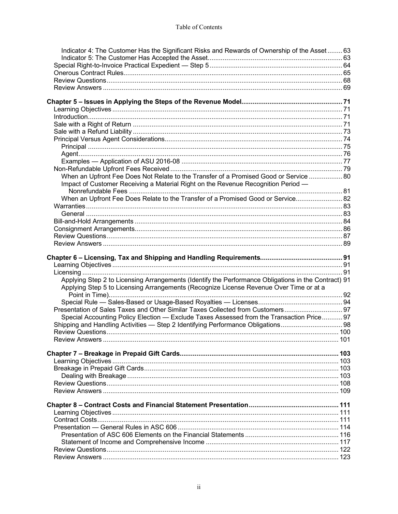| Indicator 4: The Customer Has the Significant Risks and Rewards of Ownership of the Asset  63       |  |
|-----------------------------------------------------------------------------------------------------|--|
|                                                                                                     |  |
|                                                                                                     |  |
|                                                                                                     |  |
|                                                                                                     |  |
|                                                                                                     |  |
|                                                                                                     |  |
|                                                                                                     |  |
|                                                                                                     |  |
|                                                                                                     |  |
|                                                                                                     |  |
|                                                                                                     |  |
|                                                                                                     |  |
|                                                                                                     |  |
| When an Upfront Fee Does Not Relate to the Transfer of a Promised Good or Service  80               |  |
| Impact of Customer Receiving a Material Right on the Revenue Recognition Period -                   |  |
|                                                                                                     |  |
| When an Upfront Fee Does Relate to the Transfer of a Promised Good or Service 82                    |  |
|                                                                                                     |  |
|                                                                                                     |  |
|                                                                                                     |  |
|                                                                                                     |  |
|                                                                                                     |  |
|                                                                                                     |  |
|                                                                                                     |  |
|                                                                                                     |  |
|                                                                                                     |  |
| Applying Step 2 to Licensing Arrangements (Identify the Performance Obligations in the Contract) 91 |  |
| Applying Step 5 to Licensing Arrangements (Recognize License Revenue Over Time or at a              |  |
|                                                                                                     |  |
| Presentation of Sales Taxes and Other Similar Taxes Collected from Customers 97                     |  |
| Special Accounting Policy Election — Exclude Taxes Assessed from the Transaction Price 97           |  |
| Shipping and Handling Activities - Step 2 Identifying Performance Obligations 98                    |  |
|                                                                                                     |  |
|                                                                                                     |  |
|                                                                                                     |  |
|                                                                                                     |  |
|                                                                                                     |  |
|                                                                                                     |  |
|                                                                                                     |  |
|                                                                                                     |  |
|                                                                                                     |  |
|                                                                                                     |  |
|                                                                                                     |  |
|                                                                                                     |  |
|                                                                                                     |  |
|                                                                                                     |  |
|                                                                                                     |  |
|                                                                                                     |  |
|                                                                                                     |  |